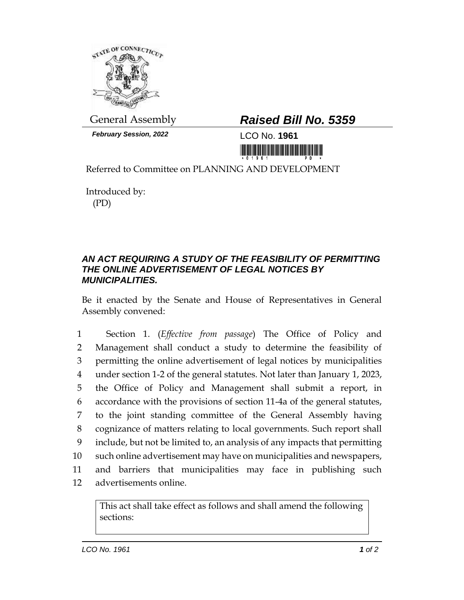

*February Session, 2022* LCO No. **1961**

## General Assembly *Raised Bill No. 5359*

<u> III MATA BITI MATA BITI MATA BITI MATA BITI MATA BITI MATA BITI MATA BITI MATA BITI MATA BITI MATA BITI MATA </u>

Referred to Committee on PLANNING AND DEVELOPMENT

Introduced by: (PD)

## *AN ACT REQUIRING A STUDY OF THE FEASIBILITY OF PERMITTING THE ONLINE ADVERTISEMENT OF LEGAL NOTICES BY MUNICIPALITIES.*

Be it enacted by the Senate and House of Representatives in General Assembly convened:

 Section 1. (*Effective from passage*) The Office of Policy and Management shall conduct a study to determine the feasibility of permitting the online advertisement of legal notices by municipalities under section 1-2 of the general statutes. Not later than January 1, 2023, the Office of Policy and Management shall submit a report, in accordance with the provisions of section 11-4a of the general statutes, to the joint standing committee of the General Assembly having cognizance of matters relating to local governments. Such report shall include, but not be limited to, an analysis of any impacts that permitting such online advertisement may have on municipalities and newspapers, and barriers that municipalities may face in publishing such advertisements online.

This act shall take effect as follows and shall amend the following sections: